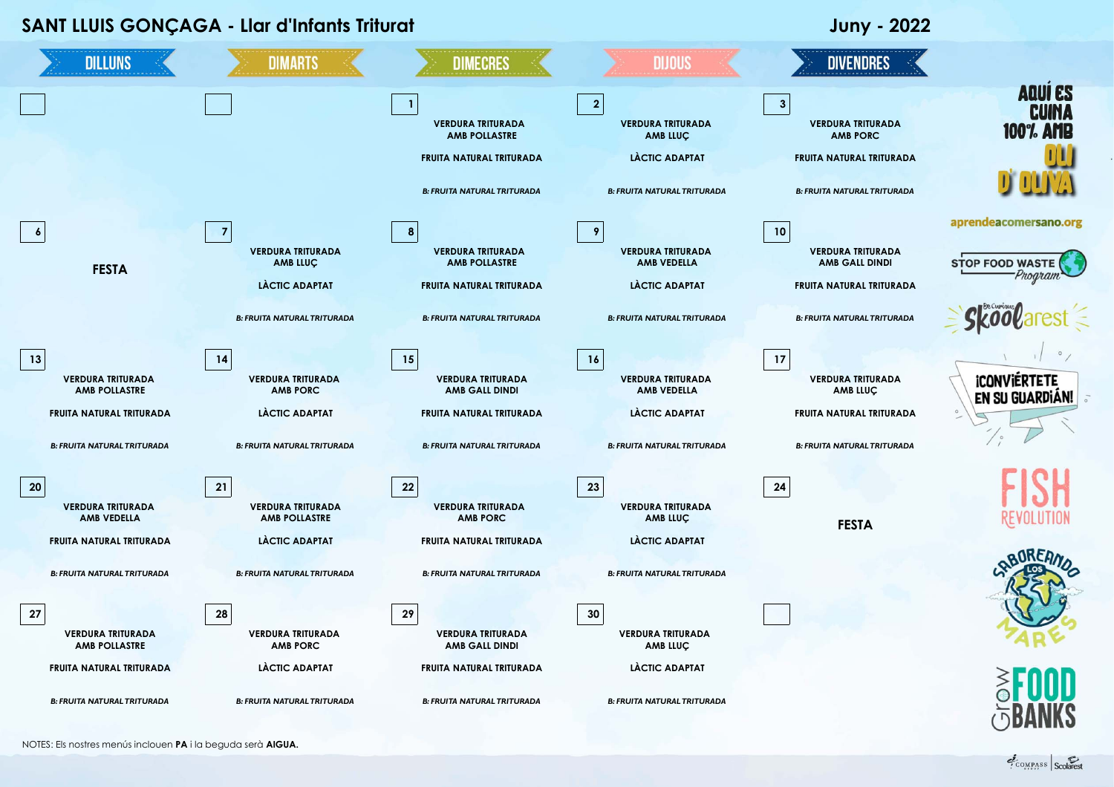| SANT LLUIS GONÇAGA - Llar d'Infants Triturat   |                                                  |                                                   |                                                        | <b>Juny - 2022</b>                                          |                                            |
|------------------------------------------------|--------------------------------------------------|---------------------------------------------------|--------------------------------------------------------|-------------------------------------------------------------|--------------------------------------------|
| <b>DILLUNS</b>                                 | <b>DIMARTS</b>                                   | <b>DIMECRES</b>                                   | <b>DIJOUS</b>                                          | <b>DIVENDRES</b>                                            |                                            |
|                                                |                                                  | <b>VERDURA TRITURADA</b><br><b>AMB POLLASTRE</b>  | $\overline{2}$<br><b>VERDURA TRITURADA</b><br>AMB LLUÇ | $\mathbf{3}$<br><b>VERDURA TRITURADA</b><br><b>AMB PORC</b> | <b>AQUI ES</b><br><b>CUINA</b><br>100% AMB |
|                                                |                                                  | FRUITA NATURAL TRITURADA                          | LÀCTIC ADAPTAT                                         | FRUITA NATURAL TRITURADA                                    |                                            |
|                                                |                                                  | <b>B: FRUITA NATURAL TRITURADA</b>                | <b>B: FRUITA NATURAL TRITURADA</b>                     | <b>B: FRUITA NATURAL TRITURADA</b>                          |                                            |
| $\boldsymbol{6}$                               | $\overline{7}$                                   | 8                                                 | 9                                                      | 10                                                          | aprendeacomersano.org                      |
| <b>FESTA</b>                                   | <b>VERDURA TRITURADA</b><br>AMB LLUÇ             | <b>VERDURA TRITURADA</b><br><b>AMB POLLASTRE</b>  | <b>VERDURA TRITURADA</b><br><b>AMB VEDELLA</b>         | <b>VERDURA TRITURADA</b><br><b>AMB GALL DINDI</b>           | <b>STOP FOOD WASTE</b>                     |
|                                                | <b>LÀCTIC ADAPTAT</b>                            | FRUITA NATURAL TRITURADA                          | LÀCTIC ADAPTAT                                         | FRUITA NATURAL TRITURADA                                    | Program                                    |
|                                                | <b>B: FRUITA NATURAL TRITURADA</b>               | <b>B: FRUITA NATURAL TRITURADA</b>                | <b>B: FRUITA NATURAL TRITURADA</b>                     | <b>B: FRUITA NATURAL TRITURADA</b>                          |                                            |
| 13                                             | $14$                                             | 15                                                | 16                                                     | 17                                                          |                                            |
| <b>VERDURA TRITURADA</b><br>AMB POLLASTRE      | <b>VERDURA TRITURADA</b><br><b>AMB PORC</b>      | <b>VERDURA TRITURADA</b><br><b>AMB GALL DINDI</b> | <b>VERDURA TRITURADA</b><br><b>AMB VEDELLA</b>         | <b>VERDURA TRITURADA</b><br>AMB LLUC                        | <b>ICONVIERTETE</b><br>EN SU GUARDIÁN!     |
| FRUITA NATURAL TRITURADA                       | LÀCTIC ADAPTAT                                   | FRUITA NATURAL TRITURADA                          | LÀCTIC ADAPTAT                                         | FRUITA NATURAL TRITURADA                                    |                                            |
| <b>B: FRUITA NATURAL TRITURADA</b>             | <b>B: FRUITA NATURAL TRITURADA</b>               | <b>B: FRUITA NATURAL TRITURADA</b>                | <b>B: FRUITA NATURAL TRITURADA</b>                     | <b>B: FRUITA NATURAL TRITURADA</b>                          |                                            |
| 20                                             | 21                                               | 22                                                | 23                                                     | 24                                                          |                                            |
| <b>VERDURA TRITURADA</b><br><b>AMB VEDELLA</b> | <b>VERDURA TRITURADA</b><br><b>AMB POLLASTRE</b> | <b>VERDURA TRITURADA</b><br><b>AMB PORC</b>       | <b>VERDURA TRITURADA</b><br>AMB LLUÇ                   | <b>FESTA</b>                                                |                                            |
| FRUITA NATURAL TRITURADA                       | LACTIC ADAPTAT                                   | FRUITA NATURAL TRITURADA                          | LÀCTIC ADAPTAT                                         |                                                             |                                            |
| <b>B: FRUITA NATURAL TRITURADA</b>             | <b>B: FRUITA NATURAL TRITURADA</b>               | <b>B: FRUITA NATURAL TRITURADA</b>                | <b>B: FRUITA NATURAL TRITURADA</b>                     |                                                             |                                            |
| 27                                             | 28                                               | 29                                                | 30                                                     |                                                             |                                            |
| <b>VERDURA TRITURADA</b><br>AMB POLLASTRE      | <b>VERDURA TRITURADA</b><br><b>AMB PORC</b>      | <b>VERDURA TRITURADA</b><br><b>AMB GALL DINDI</b> | <b>VERDURA TRITURADA</b><br>AMB LLUÇ                   |                                                             |                                            |
| FRUITA NATURAL TRITURADA                       | LÀCTIC ADAPTAT                                   | FRUITA NATURAL TRITURADA                          | LÀCTIC ADAPTAT                                         |                                                             |                                            |
| <b>B: FRUITA NATURAL TRITURADA</b>             | <b>B: FRUITA NATURAL TRITURADA</b>               | <b>B: FRUITA NATURAL TRITURADA</b>                | <b>B: FRUITA NATURAL TRITURADA</b>                     |                                                             |                                            |